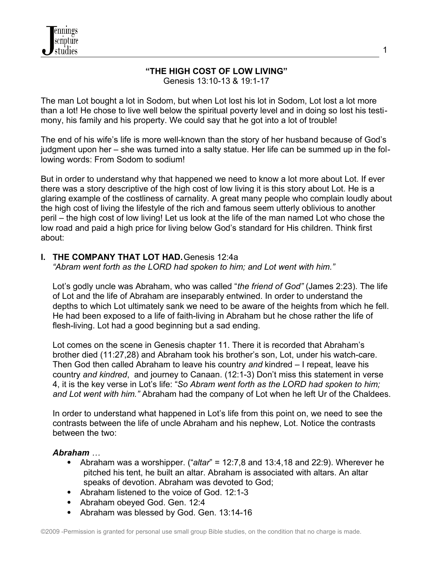# **"THE HIGH COST OF LOW LIVING"**

Genesis 13:10-13 & 19:1-17

The man Lot bought a lot in Sodom, but when Lot lost his lot in Sodom, Lot lost a lot more than a lot! He chose to live well below the spiritual poverty level and in doing so lost his testimony, his family and his property. We could say that he got into a lot of trouble!

The end of his wife's life is more well-known than the story of her husband because of God's judgment upon her – she was turned into a salty statue. Her life can be summed up in the following words: From Sodom to sodium!

But in order to understand why that happened we need to know a lot more about Lot. If ever there was a story descriptive of the high cost of low living it is this story about Lot. He is a glaring example of the costliness of carnality. A great many people who complain loudly about the high cost of living the lifestyle of the rich and famous seem utterly oblivious to another peril – the high cost of low living! Let us look at the life of the man named Lot who chose the low road and paid a high price for living below God's standard for His children. Think first about:

### **I. THE COMPANY THAT LOT HAD.** Genesis 12:4a

*"Abram went forth as the LORD had spoken to him; and Lot went with him."*

Lot's godly uncle was Abraham, who was called "*the friend of God"* (James 2:23). The life of Lot and the life of Abraham are inseparably entwined. In order to understand the depths to which Lot ultimately sank we need to be aware of the heights from which he fell. He had been exposed to a life of faith-living in Abraham but he chose rather the life of flesh-living. Lot had a good beginning but a sad ending.

 Lot comes on the scene in Genesis chapter 11. There it is recorded that Abraham's brother died (11:27,28) and Abraham took his brother's son, Lot, under his watch-care. Then God then called Abraham to leave his country *and* kindred – I repeat, leave his country *and kindred*, and journey to Canaan. (12:1-3) Don't miss this statement in verse 4, it is the key verse in Lot's life: "*So Abram went forth as the LORD had spoken to him; and Lot went with him."* Abraham had the company of Lot when he left Ur of the Chaldees.

 In order to understand what happened in Lot's life from this point on, we need to see the contrasts between the life of uncle Abraham and his nephew, Lot. Notice the contrasts between the two:

### *Abraham …*

- Abraham was a worshipper. ("*altar*" = 12:7,8 and 13:4,18 and 22:9). Wherever he pitched his tent, he built an altar. Abraham is associated with altars. An altar speaks of devotion. Abraham was devoted to God;
- Abraham listened to the voice of God. 12:1-3
- Abraham obeyed God. Gen. 12:4
- Abraham was blessed by God. Gen. 13:14-16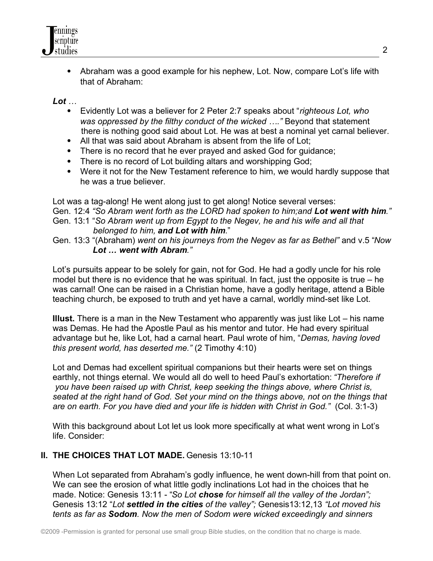

 Abraham was a good example for his nephew, Lot. Now, compare Lot's life with that of Abraham:

*Lot …*

- Evidently Lot was a believer for 2 Peter 2:7 speaks about "*righteous Lot, who was oppressed by the filthy conduct of the wicked …."* Beyond that statement there is nothing good said about Lot. He was at best a nominal yet carnal believer.
- All that was said about Abraham is absent from the life of Lot;
- There is no record that he ever prayed and asked God for guidance;
- There is no record of Lot building altars and worshipping God;
- Were it not for the New Testament reference to him, we would hardly suppose that he was a true believer.

 Lot was a tag-along! He went along just to get along! Notice several verses: Gen. 12:4 *"So Abram went forth as the LORD had spoken to him;and Lot went with him."* Gen. 13:1 "*So Abram went up from Egypt to the Negev, he and his wife and all that belonged to him, and Lot with him*."

 Gen. 13:3 "(Abraham) *went on his journeys from the Negev as far as Bethel"* and v.5 "*Now Lot … went with Abram."*

 Lot's pursuits appear to be solely for gain, not for God. He had a godly uncle for his role model but there is no evidence that he was spiritual. In fact, just the opposite is true – he was carnal! One can be raised in a Christian home, have a godly heritage, attend a Bible teaching church, be exposed to truth and yet have a carnal, worldly mind-set like Lot.

 **Illust.** There is a man in the New Testament who apparently was just like Lot – his name was Demas. He had the Apostle Paul as his mentor and tutor. He had every spiritual advantage but he, like Lot, had a carnal heart. Paul wrote of him, "*Demas, having loved this present world, has deserted me."* (2 Timothy 4:10)

 Lot and Demas had excellent spiritual companions but their hearts were set on things earthly, not things eternal. We would all do well to heed Paul's exhortation: *"Therefore if you have been raised up with Christ, keep seeking the things above, where Christ is, seated at the right hand of God. Set your mind on the things above, not on the things that are on earth. For you have died and your life is hidden with Christ in God."* (Col. 3:1-3)

With this background about Lot let us look more specifically at what went wrong in Lot's life. Consider:

## **II. THE CHOICES THAT LOT MADE.** Genesis 13:10-11

 When Lot separated from Abraham's godly influence, he went down-hill from that point on. We can see the erosion of what little godly inclinations Lot had in the choices that he made. Notice: Genesis 13:11 - "*So Lot chose for himself all the valley of the Jordan";* Genesis 13:12 "*Lot settled in the cities of the valley";* Genesis13:12,13 *"Lot moved his tents as far as Sodom. Now the men of Sodom were wicked exceedingly and sinners*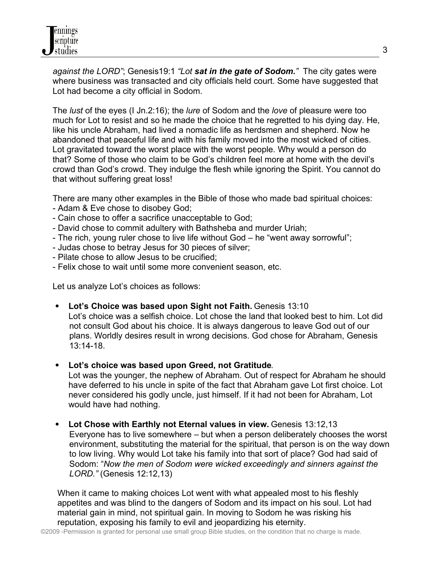*against the LORD"*; Genesis19:1 *"Lot sat in the gate of Sodom."* The city gates were where business was transacted and city officials held court. Some have suggested that Lot had become a city official in Sodom.

The *lust* of the eyes (I Jn.2:16); the *lure* of Sodom and the *love* of pleasure were too much for Lot to resist and so he made the choice that he regretted to his dying day. He, like his uncle Abraham, had lived a nomadic life as herdsmen and shepherd. Now he abandoned that peaceful life and with his family moved into the most wicked of cities. Lot gravitated toward the worst place with the worst people. Why would a person do that? Some of those who claim to be God's children feel more at home with the devil's crowd than God's crowd. They indulge the flesh while ignoring the Spirit. You cannot do that without suffering great loss!

There are many other examples in the Bible of those who made bad spiritual choices:

- Adam & Eve chose to disobey God;
- Cain chose to offer a sacrifice unacceptable to God;
- David chose to commit adultery with Bathsheba and murder Uriah;
- The rich, young ruler chose to live life without God he "went away sorrowful";
- Judas chose to betray Jesus for 30 pieces of silver;
- Pilate chose to allow Jesus to be crucified;
- Felix chose to wait until some more convenient season, etc.

Let us analyze Lot's choices as follows:

- **Lot's Choice was based upon Sight not Faith.** Genesis 13:10 Lot's choice was a selfish choice. Lot chose the land that looked best to him. Lot did not consult God about his choice. It is always dangerous to leave God out of our plans. Worldly desires result in wrong decisions. God chose for Abraham, Genesis 13:14-18.
- **Lot's choice was based upon Greed, not Gratitude**.

Lot was the younger, the nephew of Abraham. Out of respect for Abraham he should have deferred to his uncle in spite of the fact that Abraham gave Lot first choice. Lot never considered his godly uncle, just himself. If it had not been for Abraham, Lot would have had nothing.

• Lot Chose with Earthly not Eternal values in view. Genesis 13:12,13 Everyone has to live somewhere – but when a person deliberately chooses the worst environment, substituting the material for the spiritual, that person is on the way down to low living. Why would Lot take his family into that sort of place? God had said of Sodom: "*Now the men of Sodom were wicked exceedingly and sinners against the LORD."* (Genesis 12:12,13)

 When it came to making choices Lot went with what appealed most to his fleshly appetites and was blind to the dangers of Sodom and its impact on his soul. Lot had material gain in mind, not spiritual gain. In moving to Sodom he was risking his reputation, exposing his family to evil and jeopardizing his eternity.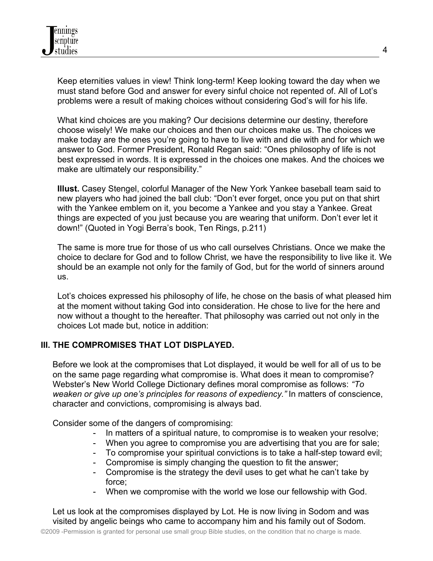Keep eternities values in view! Think long-term! Keep looking toward the day when we must stand before God and answer for every sinful choice not repented of. All of Lot's problems were a result of making choices without considering God's will for his life.

What kind choices are you making? Our decisions determine our destiny, therefore choose wisely! We make our choices and then our choices make us. The choices we make today are the ones you're going to have to live with and die with and for which we answer to God. Former President, Ronald Regan said: "Ones philosophy of life is not best expressed in words. It is expressed in the choices one makes. And the choices we make are ultimately our responsibility."

 **Illust.** Casey Stengel, colorful Manager of the New York Yankee baseball team said to new players who had joined the ball club: "Don't ever forget, once you put on that shirt with the Yankee emblem on it, you become a Yankee and you stay a Yankee. Great things are expected of you just because you are wearing that uniform. Don't ever let it down!" (Quoted in Yogi Berra's book, Ten Rings, p.211)

The same is more true for those of us who call ourselves Christians. Once we make the choice to declare for God and to follow Christ, we have the responsibility to live like it. We should be an example not only for the family of God, but for the world of sinners around us.

 Lot's choices expressed his philosophy of life, he chose on the basis of what pleased him at the moment without taking God into consideration. He chose to live for the here and now without a thought to the hereafter. That philosophy was carried out not only in the choices Lot made but, notice in addition:

## **III. THE COMPROMISES THAT LOT DISPLAYED.**

Before we look at the compromises that Lot displayed, it would be well for all of us to be on the same page regarding what compromise is. What does it mean to compromise? Webster's New World College Dictionary defines moral compromise as follows: *"To weaken or give up one's principles for reasons of expediency."* In matters of conscience, character and convictions, compromising is always bad.

Consider some of the dangers of compromising:

- In matters of a spiritual nature, to compromise is to weaken your resolve;
- When you agree to compromise you are advertising that you are for sale;
- To compromise your spiritual convictions is to take a half-step toward evil;
- Compromise is simply changing the question to fit the answer;
- Compromise is the strategy the devil uses to get what he can't take by force;
- When we compromise with the world we lose our fellowship with God.

 Let us look at the compromises displayed by Lot. He is now living in Sodom and was visited by angelic beings who came to accompany him and his family out of Sodom.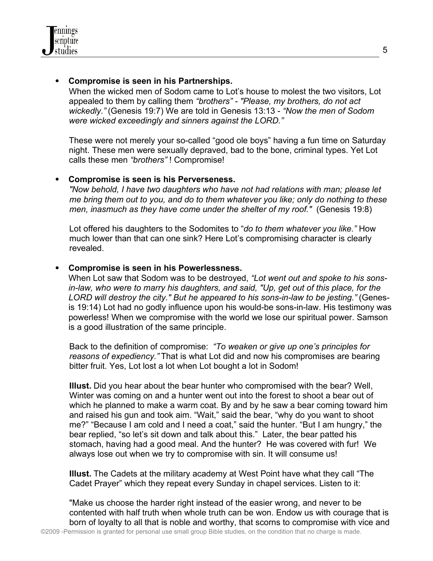## **Compromise is seen in his Partnerships.**

When the wicked men of Sodom came to Lot's house to molest the two visitors, Lot appealed to them by calling them *"brothers" - "Please, my brothers, do not act wickedly."* (Genesis 19:7) We are told in Genesis 13:13 - *"Now the men of Sodom were wicked exceedingly and sinners against the LORD."* 

These were not merely your so-called "good ole boys" having a fun time on Saturday night. These men were sexually depraved, bad to the bone, criminal types. Yet Lot calls these men *"brothers"* ! Compromise!

### **Compromise is seen is his Perverseness.**

*"Now behold, I have two daughters who have not had relations with man; please let me bring them out to you, and do to them whatever you like; only do nothing to these men, inasmuch as they have come under the shelter of my roof."* (Genesis 19:8)

 Lot offered his daughters to the Sodomites to "*do to them whatever you like."* How much lower than that can one sink? Here Lot's compromising character is clearly revealed.

## **Compromise is seen in his Powerlessness.**

When Lot saw that Sodom was to be destroyed, *"Lot went out and spoke to his sonsin-law, who were to marry his daughters, and said, "Up, get out of this place, for the LORD will destroy the city." But he appeared to his sons-in-law to be jesting."* (Genesis 19:14) Lot had no godly influence upon his would-be sons-in-law. His testimony was powerless! When we compromise with the world we lose our spiritual power. Samson is a good illustration of the same principle.

 Back to the definition of compromise: *"To weaken or give up one's principles for reasons of expediency."* That is what Lot did and now his compromises are bearing bitter fruit. Yes, Lot lost a lot when Lot bought a lot in Sodom!

 **Illust.** Did you hear about the bear hunter who compromised with the bear? Well, Winter was coming on and a hunter went out into the forest to shoot a bear out of which he planned to make a warm coat. By and by he saw a bear coming toward him and raised his gun and took aim. "Wait," said the bear, "why do you want to shoot me?" "Because I am cold and I need a coat," said the hunter. "But I am hungry," the bear replied, "so let's sit down and talk about this." Later, the bear patted his stomach, having had a good meal. And the hunter? He was covered with fur! We always lose out when we try to compromise with sin. It will consume us!

 **Illust.** The Cadets at the military academy at West Point have what they call "The Cadet Prayer" which they repeat every Sunday in chapel services. Listen to it:

 "Make us choose the harder right instead of the easier wrong, and never to be contented with half truth when whole truth can be won. Endow us with courage that is born of loyalty to all that is noble and worthy, that scorns to compromise with vice and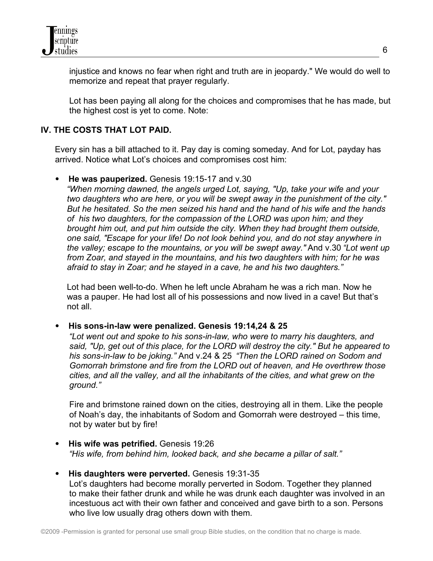

 injustice and knows no fear when right and truth are in jeopardy." We would do well to memorize and repeat that prayer regularly.

 Lot has been paying all along for the choices and compromises that he has made, but the highest cost is yet to come. Note:

## **IV. THE COSTS THAT LOT PAID.**

Every sin has a bill attached to it. Pay day is coming someday. And for Lot, payday has arrived. Notice what Lot's choices and compromises cost him:

**He was pauperized.** Genesis 19:15-17 and v.30

 *"When morning dawned, the angels urged Lot, saying, "Up, take your wife and your two daughters who are here, or you will be swept away in the punishment of the city." But he hesitated. So the men seized his hand and the hand of his wife and the hands of his two daughters, for the compassion of the LORD was upon him; and they brought him out, and put him outside the city. When they had brought them outside, one said, "Escape for your life! Do not look behind you, and do not stay anywhere in the valley; escape to the mountains, or you will be swept away."* And v.30 *"Lot went up from Zoar, and stayed in the mountains, and his two daughters with him; for he was afraid to stay in Zoar; and he stayed in a cave, he and his two daughters."*

 Lot had been well-to-do. When he left uncle Abraham he was a rich man. Now he was a pauper. He had lost all of his possessions and now lived in a cave! But that's not all.

**His sons-in-law were penalized. Genesis 19:14,24 & 25** 

*"Lot went out and spoke to his sons-in-law, who were to marry his daughters, and said, "Up, get out of this place, for the LORD will destroy the city." But he appeared to his sons-in-law to be joking."* And v.24 & 25 *"Then the LORD rained on Sodom and Gomorrah brimstone and fire from the LORD out of heaven, and He overthrew those cities, and all the valley, and all the inhabitants of the cities, and what grew on the ground."*

 Fire and brimstone rained down on the cities, destroying all in them. Like the people of Noah's day, the inhabitants of Sodom and Gomorrah were destroyed – this time, not by water but by fire!

- **His wife was petrified.** Genesis 19:26 *"His wife, from behind him, looked back, and she became a pillar of salt."*
- **His daughters were perverted.** Genesis 19:31-35 Lot's daughters had become morally perverted in Sodom. Together they planned to make their father drunk and while he was drunk each daughter was involved in an incestuous act with their own father and conceived and gave birth to a son. Persons who live low usually drag others down with them.